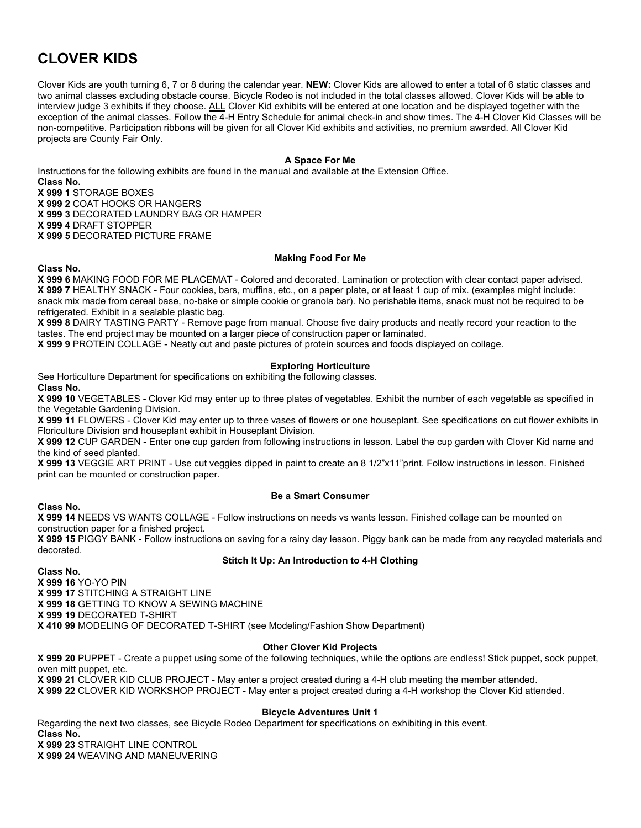# **CLOVER KIDS**

Clover Kids are youth turning 6, 7 or 8 during the calendar year. **NEW:** Clover Kids are allowed to enter a total of 6 static classes and two animal classes excluding obstacle course. Bicycle Rodeo is not included in the total classes allowed. Clover Kids will be able to interview judge 3 exhibits if they choose. ALL Clover Kid exhibits will be entered at one location and be displayed together with the exception of the animal classes. Follow the 4-H Entry Schedule for animal check-in and show times. The 4-H Clover Kid Classes will be non-competitive. Participation ribbons will be given for all Clover Kid exhibits and activities, no premium awarded. All Clover Kid projects are County Fair Only.

## **A Space For Me**

Instructions for the following exhibits are found in the manual and available at the Extension Office.

**Class No. X 999 1** STORAGE BOXES **X 999 2** COAT HOOKS OR HANGERS **X 999 3** DECORATED LAUNDRY BAG OR HAMPER

**X 999 4** DRAFT STOPPER

**X 999 5** DECORATED PICTURE FRAME

#### **Making Food For Me**

**X 999 6** MAKING FOOD FOR ME PLACEMAT - Colored and decorated. Lamination or protection with clear contact paper advised. **X 999 7** HEALTHY SNACK - Four cookies, bars, muffins, etc., on a paper plate, or at least 1 cup of mix. (examples might include: snack mix made from cereal base, no-bake or simple cookie or granola bar). No perishable items, snack must not be required to be refrigerated. Exhibit in a sealable plastic bag.

**X 999 8** DAIRY TASTING PARTY - Remove page from manual. Choose five dairy products and neatly record your reaction to the tastes. The end project may be mounted on a larger piece of construction paper or laminated.

**X 999 9** PROTEIN COLLAGE - Neatly cut and paste pictures of protein sources and foods displayed on collage.

#### **Exploring Horticulture**

See Horticulture Department for specifications on exhibiting the following classes.

**Class No.**

**Class No.**

**X 999 10** VEGETABLES - Clover Kid may enter up to three plates of vegetables. Exhibit the number of each vegetable as specified in the Vegetable Gardening Division.

**X 999 11** FLOWERS - Clover Kid may enter up to three vases of flowers or one houseplant. See specifications on cut flower exhibits in Floriculture Division and houseplant exhibit in Houseplant Division.

**X 999 12** CUP GARDEN - Enter one cup garden from following instructions in lesson. Label the cup garden with Clover Kid name and the kind of seed planted.

**X 999 13** VEGGIE ART PRINT - Use cut veggies dipped in paint to create an 8 1/2"x11"print. Follow instructions in lesson. Finished print can be mounted or construction paper.

**Class No.**

#### **Be a Smart Consumer**

**X 999 14** NEEDS VS WANTS COLLAGE - Follow instructions on needs vs wants lesson. Finished collage can be mounted on construction paper for a finished project.

**X 999 15** PIGGY BANK - Follow instructions on saving for a rainy day lesson. Piggy bank can be made from any recycled materials and decorated.

#### **Stitch It Up: An Introduction to 4-H Clothing**

**Class No. X 999 16** YO-YO PIN **X 999 17** STITCHING A STRAIGHT LINE **X 999 18** GETTING TO KNOW A SEWING MACHINE **X 999 19** DECORATED T-SHIRT **X 410 99** MODELING OF DECORATED T-SHIRT (see Modeling/Fashion Show Department)

#### **Other Clover Kid Projects**

**X 999 20** PUPPET - Create a puppet using some of the following techniques, while the options are endless! Stick puppet, sock puppet, oven mitt puppet, etc. **X 999 21** CLOVER KID CLUB PROJECT - May enter a project created during a 4-H club meeting the member attended.

**X 999 22** CLOVER KID WORKSHOP PROJECT - May enter a project created during a 4-H workshop the Clover Kid attended.

# **Bicycle Adventures Unit 1**

Regarding the next two classes, see Bicycle Rodeo Department for specifications on exhibiting in this event. **Class No. X 999 23** STRAIGHT LINE CONTROL

**X 999 24** WEAVING AND MANEUVERING